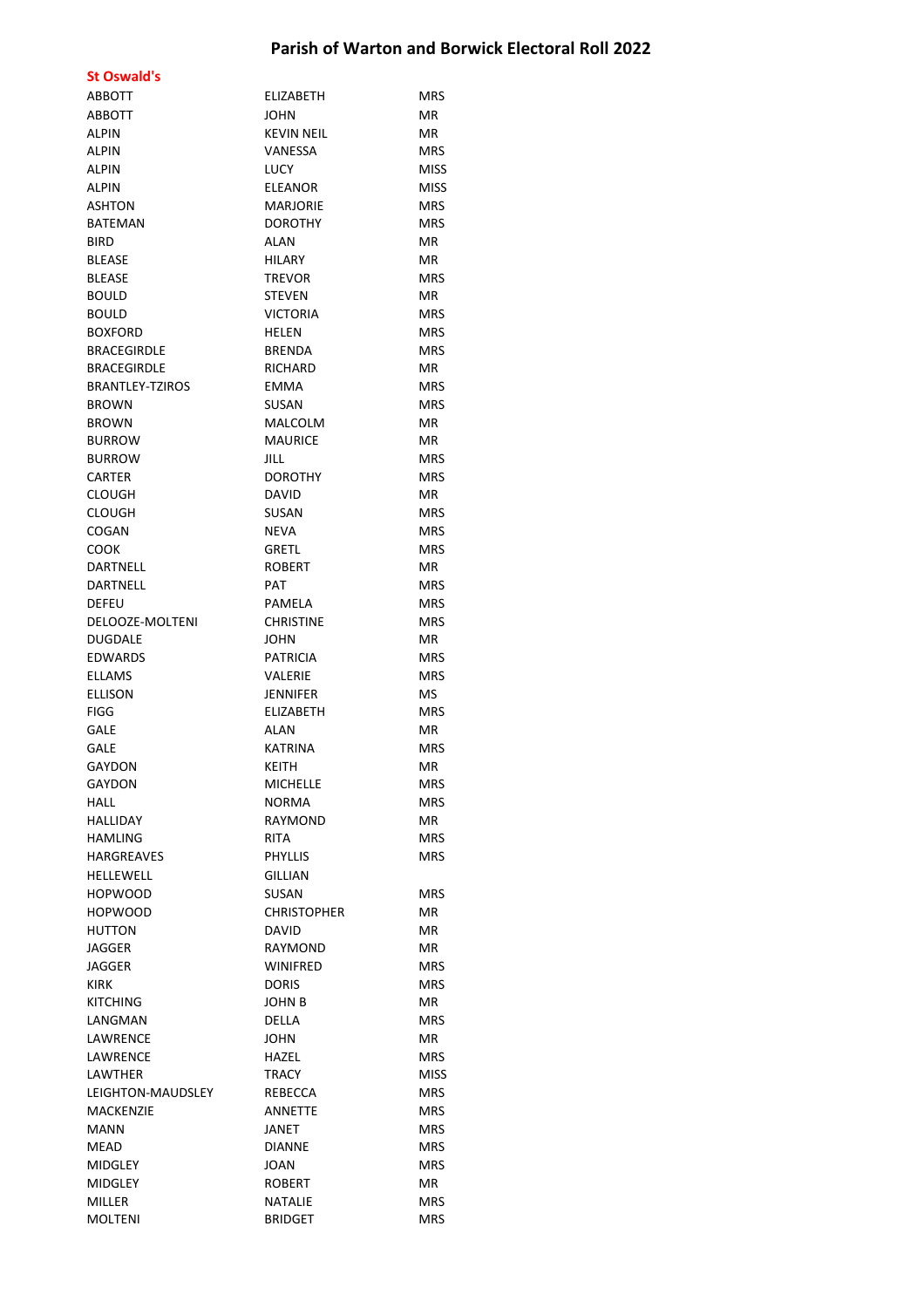## **Parish of Warton and Borwick Electoral Roll 2022**

| <b>St Oswald's</b>     |                   |             |
|------------------------|-------------------|-------------|
| <b>ARROTT</b>          | ELIZABETH         | MRS         |
| <b>ABBOTT</b>          | JOHN              | ΜR          |
| <b>ALPIN</b>           | <b>KEVIN NEIL</b> | ΜR          |
| <b>ALPIN</b>           | VANESSA           | <b>MRS</b>  |
| <b>ALPIN</b>           | LUCY              | <b>MISS</b> |
| ALPIN                  | <b>ELEANOR</b>    | <b>MISS</b> |
| <b>ASHTON</b>          | <b>MARJORIE</b>   | <b>MRS</b>  |
| <b>BATEMAN</b>         | <b>DOROTHY</b>    | <b>MRS</b>  |
| <b>BIRD</b>            | <b>ALAN</b>       | МR          |
| <b>BLEASE</b>          | HILARY            | MR          |
| <b>BLEASE</b>          | <b>TREVOR</b>     | <b>MRS</b>  |
| <b>BOULD</b>           | <b>STEVEN</b>     | MR          |
| BOULD                  | <b>VICTORIA</b>   | <b>MRS</b>  |
| BOXFORD                | HELEN             | <b>MRS</b>  |
| BRACEGIRDLE            | <b>BRENDA</b>     | <b>MRS</b>  |
| BRACEGIRDLE            | RICHARD           | MR          |
| <b>BRANTLEY-TZIROS</b> | <b>EMMA</b>       | <b>MRS</b>  |
| BROWN                  | SUSAN             | <b>MRS</b>  |
| <b>BROWN</b>           | MALCOLM           | МR          |
| <b>BURROW</b>          | <b>MAURICE</b>    | MR          |
| <b>BURROW</b>          | JILL              | MRS         |
| CARTER                 | <b>DOROTHY</b>    | <b>MRS</b>  |
| <b>CLOUGH</b>          | <b>DAVID</b>      | MR          |
| <b>CLOUGH</b>          | SUSAN             | <b>MRS</b>  |
| COGAN                  | <b>NEVA</b>       | <b>MRS</b>  |
| соок                   | <b>GRETL</b>      | MRS         |
| DARTNELL               | <b>ROBERT</b>     | MR          |
| DARTNELL               | <b>PAT</b>        | <b>MRS</b>  |
| <b>DEFEU</b>           | PAMELA            | <b>MRS</b>  |
| DELOOZE-MOLTENI        | <b>CHRISTINE</b>  | <b>MRS</b>  |
| DUGDALE                | JOHN              | MR          |
| <b>EDWARDS</b>         | <b>PATRICIA</b>   | MRS         |
| ELLAMS                 | VALERIE           | <b>MRS</b>  |
| ELLISON                | <b>JENNIFER</b>   | MS          |
| FIGG                   | <b>ELIZABETH</b>  | MRS         |
| GALE                   | ALAN              | ΜR          |
| GALE                   | <b>KATRINA</b>    | MRS         |
| GAYDON                 | KEITH             | MR          |
| GAYDON                 | <b>MICHELLE</b>   | MRS         |
| <b>HALL</b>            | <b>NORMA</b>      | MRS         |
| HALLIDAY               | RAYMOND           | МR          |
| HAMLING                | RITA              | MRS         |
| HARGREAVES             | <b>PHYLLIS</b>    | MRS         |
| HELLEWELL              | GILLIAN           |             |
| <b>HOPWOOD</b>         | <b>SUSAN</b>      | MRS         |
| <b>HOPWOOD</b>         | CHRISTOPHER       | MR.         |
| HUTTON                 | <b>DAVID</b>      | МR          |
| <b>JAGGER</b>          | RAYMOND           | MR.         |
| JAGGER                 | WINIFRED          | <b>MRS</b>  |
| <b>KIRK</b>            | <b>DORIS</b>      | <b>MRS</b>  |
| KITCHING               | JOHN B            | МR          |
| LANGMAN                | DELLA             | <b>MRS</b>  |
| LAWRENCE               | JOHN              | МR          |
| LAWRENCE               | HAZEL             | MRS         |
| LAWTHER                | <b>TRACY</b>      | MISS        |
| LEIGHTON-MAUDSLEY      | REBECCA           | MRS         |
| <b>MACKENZIE</b>       | ANNETTE           | <b>MRS</b>  |
| <b>MANN</b>            | JANET             | MRS         |
| MEAD                   | <b>DIANNE</b>     | MRS         |
| MIDGLEY                | <b>JOAN</b>       | MRS         |
| <b>MIDGLEY</b>         | <b>ROBERT</b>     | MR.         |
| MILLER                 | NATALIE           | MRS         |
| MOLTENI                | <b>BRIDGET</b>    | MRS         |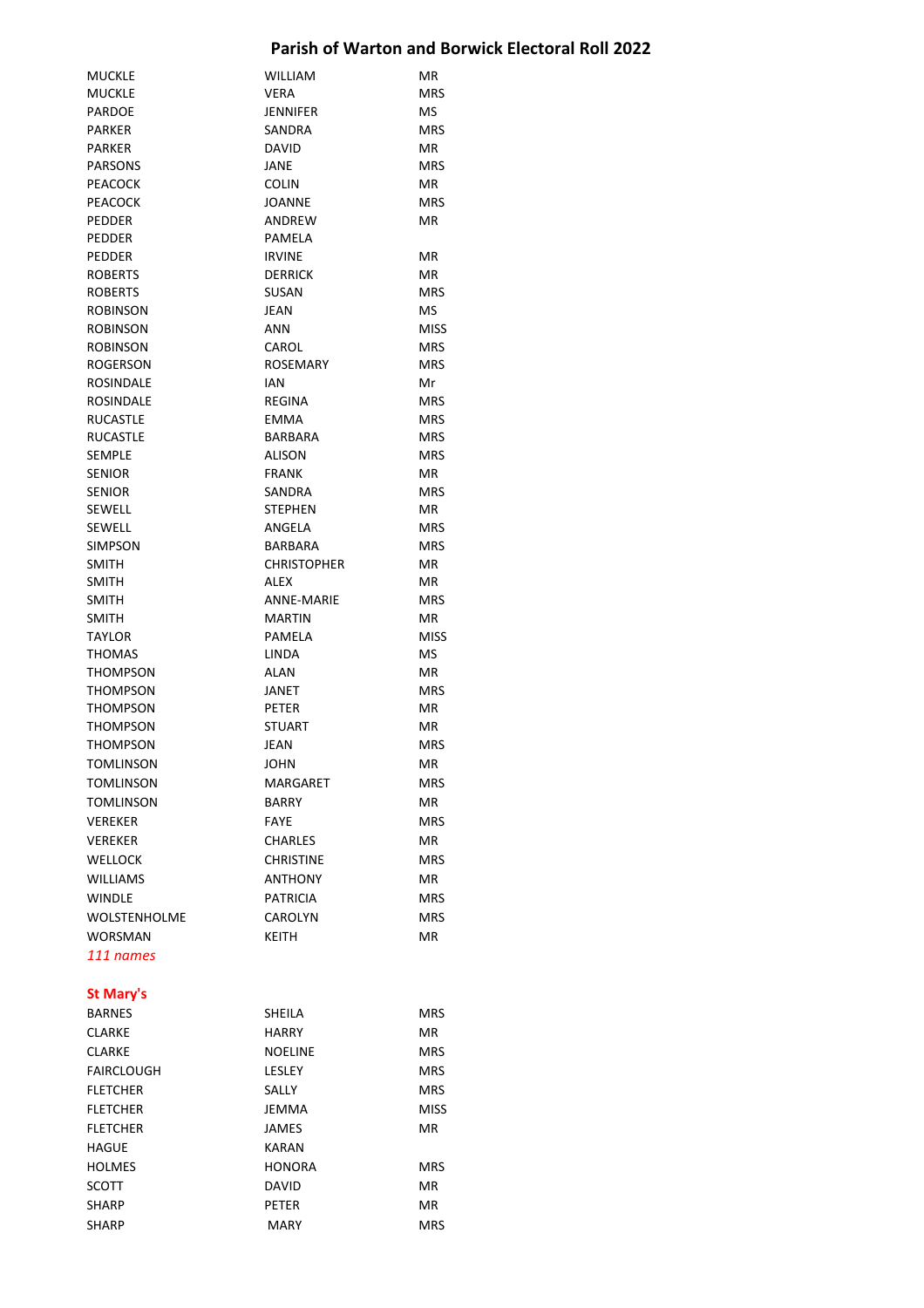## **Parish of Warton and Borwick Electoral Roll 2022**

| MUCKLE              | WILLIAM            | ΜR          |
|---------------------|--------------------|-------------|
| <b>MUCKLE</b>       | <b>VERA</b>        | <b>MRS</b>  |
| <b>PARDOE</b>       | <b>JENNIFER</b>    | MS          |
| <b>PARKER</b>       | SANDRA             | <b>MRS</b>  |
| <b>PARKER</b>       | <b>DAVID</b>       | MR          |
| <b>PARSONS</b>      | <b>JANE</b>        | <b>MRS</b>  |
| <b>PEACOCK</b>      | <b>COLIN</b>       | MR          |
| <b>PEACOCK</b>      | JOANNE             | <b>MRS</b>  |
| <b>PEDDER</b>       | ANDREW             | MR          |
| <b>PEDDER</b>       | PAMELA             |             |
| <b>PEDDER</b>       | <b>IRVINE</b>      |             |
|                     |                    | МR          |
| <b>ROBERTS</b>      | <b>DERRICK</b>     | МR          |
| <b>ROBERTS</b>      | <b>SUSAN</b>       | <b>MRS</b>  |
| <b>ROBINSON</b>     | JEAN               | MS          |
| <b>ROBINSON</b>     | <b>ANN</b>         | <b>MISS</b> |
| <b>ROBINSON</b>     | CAROL              | <b>MRS</b>  |
| ROGERSON            | <b>ROSEMARY</b>    | <b>MRS</b>  |
| ROSINDALE           | <b>IAN</b>         | Mr          |
| <b>ROSINDALE</b>    | <b>REGINA</b>      | <b>MRS</b>  |
| <b>RUCASTLE</b>     | <b>EMMA</b>        | <b>MRS</b>  |
| <b>RUCASTLE</b>     | BARBARA            | <b>MRS</b>  |
| <b>SEMPLE</b>       | <b>ALISON</b>      | <b>MRS</b>  |
| <b>SENIOR</b>       | <b>FRANK</b>       | ΜR          |
| <b>SENIOR</b>       | SANDRA             | <b>MRS</b>  |
| <b>SEWELL</b>       | <b>STEPHEN</b>     | MR          |
| <b>SEWELL</b>       | ANGELA             | MRS         |
| <b>SIMPSON</b>      | <b>BARBARA</b>     | MRS         |
| <b>SMITH</b>        | <b>CHRISTOPHER</b> | MR          |
| SMITH               | ALEX               | MR          |
| <b>SMITH</b>        | <b>ANNE-MARIE</b>  | <b>MRS</b>  |
| <b>SMITH</b>        | <b>MARTIN</b>      | ΜR          |
| <b>TAYLOR</b>       | PAMELA             | <b>MISS</b> |
| <b>THOMAS</b>       | <b>LINDA</b>       | MS          |
| <b>THOMPSON</b>     | <b>ALAN</b>        | МR          |
| <b>THOMPSON</b>     | JANET              | <b>MRS</b>  |
| <b>THOMPSON</b>     | <b>PETER</b>       | ΜR          |
| <b>THOMPSON</b>     | <b>STUART</b>      | МR          |
| <b>THOMPSON</b>     | <b>JEAN</b>        | MRS         |
|                     |                    |             |
| TOMLINSON           | JOHN               | MR          |
| TOMLINSON           | MARGARET           | MRS         |
| TOMLINSON           | <b>BARRY</b>       | МR          |
| <b>VEREKER</b>      | FAYE               | <b>MRS</b>  |
| <b>VEREKER</b>      | <b>CHARLES</b>     | МR          |
| <b>WELLOCK</b>      | <b>CHRISTINE</b>   | <b>MRS</b>  |
| <b>WILLIAMS</b>     | <b>ANTHONY</b>     | МR          |
| WINDLE              | <b>PATRICIA</b>    | <b>MRS</b>  |
| <b>WOLSTENHOLME</b> | CAROLYN            | MRS         |
| <b>WORSMAN</b>      | <b>KEITH</b>       | МR          |
| 111 names           |                    |             |
|                     |                    |             |
|                     |                    |             |
| <b>St Mary's</b>    |                    |             |
| <b>BARNES</b>       | <b>SHEILA</b>      | MRS         |
| <b>CLARKE</b>       | <b>HARRY</b>       | МR          |
| <b>CLARKE</b>       | <b>NOELINE</b>     | MRS         |
| <b>FAIRCLOUGH</b>   |                    | MRS         |
|                     | <b>LESLEY</b>      |             |
| <b>FLETCHER</b>     | SALLY              | <b>MRS</b>  |
| <b>FLETCHER</b>     | JEMMA              | <b>MISS</b> |
| <b>FLETCHER</b>     | JAMES              | МR          |
| <b>HAGUE</b>        | <b>KARAN</b>       |             |
|                     |                    |             |
| <b>HOLMES</b>       | <b>HONORA</b>      | MRS         |
| SCOTT               | <b>DAVID</b>       | MR          |
| SHARP<br>SHARP      | PETER<br>MARY      | МR<br>MRS   |